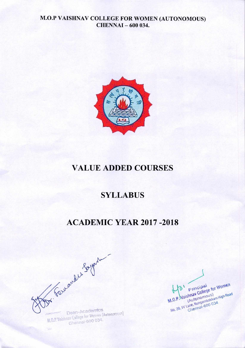

# **VALUE ADDED COURSES**

# **SYLLABUS**

# **ACADEMIC YEAR 2017 -2018**

Dr. Faremand Loyer Dean-Academics

College for Women (8)

Shnay College No. 20, IV Lane, Nungambakkam High Road 3A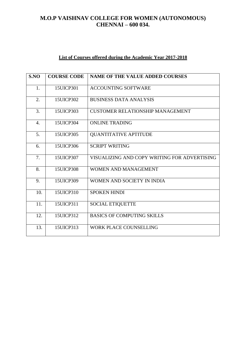# **List of Courses offered during the Academic Year 2017-2018**

| SNO              | <b>COURSE CODE</b> | <b>NAME OF THE VALUE ADDED COURSES</b>       |
|------------------|--------------------|----------------------------------------------|
| 1.               | 15UICP301          | <b>ACCOUNTING SOFTWARE</b>                   |
| 2.               | 15UICP302          | <b>BUSINESS DATA ANALYSIS</b>                |
| 3.               | 15UICP303          | <b>CUSTOMER RELATIONSHIP MANAGEMENT</b>      |
| $\overline{4}$ . | 15UICP304          | <b>ONLINE TRADING</b>                        |
| 5.               | 15UICP305          | <b>QUANTITATIVE APTITUDE</b>                 |
| 6.               | 15UICP306          | <b>SCRIPT WRITING</b>                        |
| 7.               | 15UICP307          | VISUALIZING AND COPY WRITING FOR ADVERTISING |
| 8.               | 15UICP308          | <b>WOMEN AND MANAGEMENT</b>                  |
| 9.               | 15UICP309          | WOMEN AND SOCIETY IN INDIA                   |
| 10.              | 15UICP310          | <b>SPOKEN HINDI</b>                          |
| 11.              | 15UICP311          | <b>SOCIAL ETIQUETTE</b>                      |
| 12.              | 15UICP312          | <b>BASICS OF COMPUTING SKILLS</b>            |
| 13.              | 15UICP313          | <b>WORK PLACE COUNSELLING</b>                |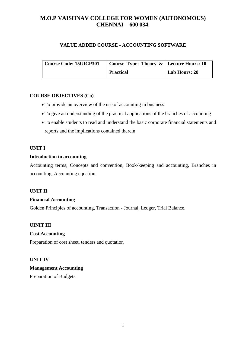# **VALUE ADDED COURSE - ACCOUNTING SOFTWARE**

| <b>Course Code: 15UICP301</b> | Course Type: Theory $\&$   Lecture Hours: 10 |               |
|-------------------------------|----------------------------------------------|---------------|
|                               | <b>Practical</b>                             | Lab Hours: 20 |

# **COURSE OBJECTIVES (Co)**

- To provide an overview of the use of accounting in business
- To give an understanding of the practical applications of the branches of accounting
- To enable students to read and understand the basic corporate financial statements and reports and the implications contained therein.

# **UNIT I**

# **Introduction to accounting**

Accounting terms, Concepts and convention, Book-keeping and accounting, Branches in accounting, Accounting equation.

# **UNIT II**

# **Financial Accounting**

Golden Principles of accounting, Transaction - Journal, Ledger, Trial Balance.

# **UINIT III**

# **Cost Accounting**

Preparation of cost sheet, tenders and quotation

# **UNIT IV**

# **Management Accounting**

Preparation of Budgets.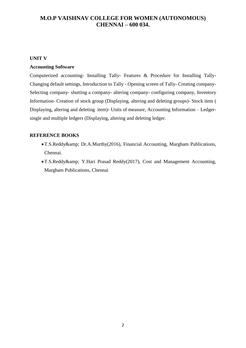### **UNIT V**

# **Accounting Software**

Computerized accounting- Installing Tally- Features & Procedure for Installing Tally-Changing default settings, Introduction to Tally - Opening screen of Tally- Creating company-Selecting company- shutting a company- altering company- configuring company, Inventory Information- Creation of stock group (Displaying, altering and deleting groups)- Stock item ( Displaying, altering and deleting item)- Units of measure, Accounting Information – Ledgersingle and multiple ledgers (Displaying, altering and deleting ledger.

- T.S.Reddy& Dr.A.Murthy(2016), Financial Accounting, Margham Publications, Chennai.
- T.S.Reddy& Y.Hari Prasad Reddy(2017), Cost and Management Accounting, Margham Publications, Chennai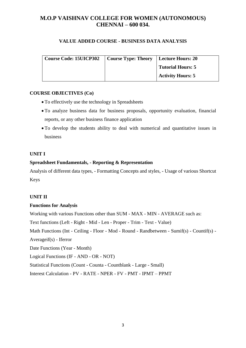# **VALUE ADDED COURSE - BUSINESS DATA ANALYSIS**

| <b>Course Code: 15UICP302</b> | Course Type: Theory   Lecture Hours: 20 |                          |
|-------------------------------|-----------------------------------------|--------------------------|
|                               |                                         | <b>Tutorial Hours: 5</b> |
|                               |                                         | <b>Activity Hours: 5</b> |

#### **COURSE OBJECTIVES (Co)**

- To effectively use the technology in Spreadsheets
- To analyze business data for business proposals, opportunity evaluation, financial reports, or any other business finance application
- To develop the students ability to deal with numerical and quantitative issues in business

#### **UNIT I**

# **Spreadsheet Fundamentals, - Reporting & Representation**

Analysis of different data types, - Formatting Concepts and styles, - Usage of various Shortcut Keys

# **UNIT II**

# **Functions for Analysis**

Working with various Functions other than SUM - MAX - MIN - AVERAGE such as:

Text functions (Left - Right - Mid - Len - Proper - Trim - Text - Value)

Math Functions (Int - Ceiling - Floor - Mod - Round - Randbetween - Sumif(s) - Countif(s) -

Averageif(s) - Iferror

Date Functions (Year - Month)

Logical Functions (IF - AND - OR - NOT)

Statistical Functions (Count - Counta - Countblank - Large - Small)

Interest Calculation - PV - RATE - NPER - FV - PMT - IPMT – PPMT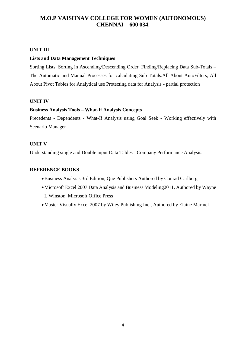#### **UNIT III**

#### **Lists and Data Management Techniques**

Sorting Lists, Sorting in Ascending/Descending Order, Finding/Replacing Data Sub-Totals – The Automatic and Manual Processes for calculating Sub-Totals.All About AutoFilters, All About Pivot Tables for Analytical use Protecting data for Analysis - partial protection

#### **UNIT IV**

#### **Business Analysis Tools – What-If Analysis Concepts**

Precedents - Dependents - What-If Analysis using Goal Seek - Working effectively with Scenario Manager

#### **UNIT V**

Understanding single and Double input Data Tables - Company Performance Analysis.

- Business Analysis 3rd Edition, Que Publishers Authored by Conrad Carlberg
- Microsoft Excel 2007 Data Analysis and Business Modeling2011, Authored by Wayne L Winston, Microsoft Office Press
- Master Visually Excel 2007 by Wiley Publishing Inc., Authored by Elaine Marmel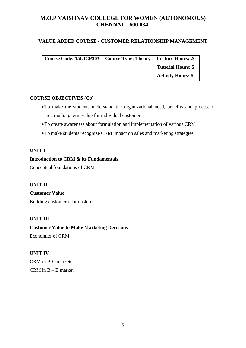# **VALUE ADDED COURSE - CUSTOMER RELATIONSHIP MANAGEMENT**

| Course Code: 15UICP303   Course Type: Theory   Lecture Hours: 20 |                          |
|------------------------------------------------------------------|--------------------------|
|                                                                  | <b>Tutorial Hours: 5</b> |
|                                                                  | <b>Activity Hours: 5</b> |

# **COURSE OBJECTIVES (Co)**

- To make the students understand the organizational need, benefits and process of creating long term value for individual customers
- To create awareness about formulation and implementation of various CRM
- To make students recognize CRM impact on sales and marketing strategies

# **UNIT I**

# **Introduction to CRM & its Fundamentals**

Conceptual foundations of CRM

# **UNIT II**

**Customer Value**  Building customer relationship

# **UNIT III**

**Customer Value to Make Marketing Decisions**  Economics of CRM

# **UNIT IV**

CRM in B-C markets CRM in  $B - B$  market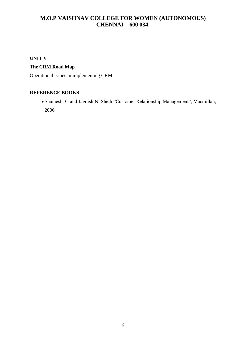# **UNIT V**

# **The CRM Road Map**

Operational issues in implementing CRM

# **REFERENCE BOOKS**

 Shainesh, G and Jagdish N, Sheth "Customer Relationship Management", Macmillan, 2006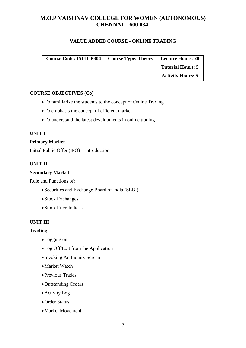# **VALUE ADDED COURSE - ONLINE TRADING**

| <b>Course Code: 15UICP304</b> | <b>Course Type: Theory</b> | <b>Lecture Hours: 20</b> |
|-------------------------------|----------------------------|--------------------------|
|                               |                            | <b>Tutorial Hours: 5</b> |
|                               |                            | <b>Activity Hours: 5</b> |

# **COURSE OBJECTIVES (Co)**

- To familiarize the students to the concept of Online Trading
- To emphasis the concept of efficient market
- To understand the latest developments in online trading

#### **UNIT I**

#### **Primary Market**

Initial Public Offer (IPO) – Introduction

# **UNIT II**

#### **Secondary Market**

Role and Functions of:

- Securities and Exchange Board of India (SEBI),
- Stock Exchanges,
- Stock Price Indices,

# **UNIT III**

# **Trading**

- Logging on
- Log Off/Exit from the Application
- Invoking An Inquiry Screen
- Market Watch
- Previous Trades
- Outstanding Orders
- Activity Log
- Order Status
- Market Movement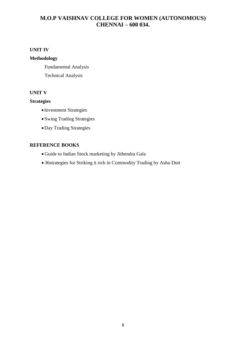# **UNIT IV**

# **Methodology**

Fundamental Analysis

Technical Analysis

# **UNIT V**

#### **Strategies**

- Investment Strategies
- Swing Trading Strategies
- Day Trading Strategies

- Guide to Indian Stock marketing by Jithendra Gala
- 36strategies for Striking it rich in Commodity Trading by Ashu Dutt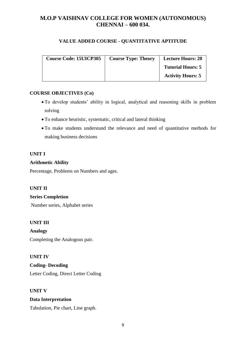# **VALUE ADDED COURSE - QUANTITATIVE APTITUDE**

| <b>Course Code: 15UICP305</b> | <b>Course Type: Theory</b> | <b>Lecture Hours: 20</b> |
|-------------------------------|----------------------------|--------------------------|
|                               |                            | <b>Tutorial Hours: 5</b> |
|                               |                            | <b>Activity Hours: 5</b> |

# **COURSE OBJECTIVES (Co)**

- To develop students' ability in logical, analytical and reasoning skills in problem solving
- To enhance heuristic, systematic, critical and lateral thinking
- To make students understand the relevance and need of quantitative methods for making business decisions

# **UNIT I**

# **Arithmetic Ability**

Percentage, Problems on Numbers and ages.

# **UNIT II**

# **Series Completion**

Number series, Alphabet series

# **UNIT III**

**Analogy** Completing the Analogous pair.

# **UNIT IV**

**Coding- Decoding** Letter Coding, Direct Letter Coding

# **UNIT V**

# **Data Interpretation**

Tabulation, Pie chart, Line graph.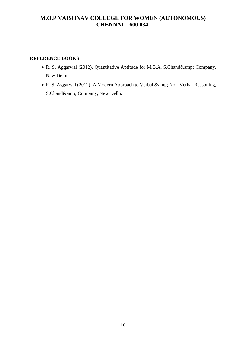- R. S. Aggarwal (2012), Quantitative Aptitude for M.B.A, S,Chand& Company, New Delhi.
- R. S. Aggarwal (2012), A Modern Approach to Verbal & amp; Non-Verbal Reasoning, S.Chand& Company, New Delhi.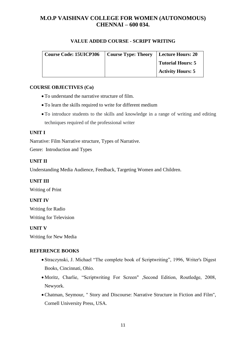# **VALUE ADDED COURSE - SCRIPT WRITING**

| Course Code: 15UICP306 | Course Type: Theory   Lecture Hours: 20 |                          |
|------------------------|-----------------------------------------|--------------------------|
|                        |                                         | Tutorial Hours: 5        |
|                        |                                         | <b>Activity Hours: 5</b> |

# **COURSE OBJECTIVES (Co)**

- To understand the narrative structure of film.
- To learn the skills required to write for different medium
- To introduce students to the skills and knowledge in a range of writing and editing techniques required of the professional writer

#### **UNIT I**

Narrative: Film Narrative structure, Types of Narrative.

Genre: Introduction and Types

### **UNIT II**

Understanding Media Audience, Feedback, Targeting Women and Children.

# **UNIT III**

Writing of Print

# **UNIT IV**

Writing for Radio Writing for Television

#### **UNIT V**

Writing for New Media

- Straczynski, J. Michael "The complete book of Scriptwriting", 1996, Writer's Digest Books, Cincinnati, Ohio.
- Moritz, Charlie, "Scriptwriting For Screen" ,Second Edition, Routledge, 2008, Newyork.
- Chatman, Seymour, " Story and Discourse: Narrative Structure in Fiction and Film", Cornell University Press, USA.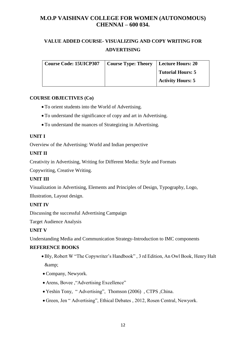# **VALUE ADDED COURSE- VISUALIZING AND COPY WRITING FOR ADVERTISING**

| Course Code: 15UICP307   Course Type: Theory | Lecture Hours: 20        |
|----------------------------------------------|--------------------------|
|                                              | <b>Tutorial Hours: 5</b> |
|                                              | <b>Activity Hours: 5</b> |

# **COURSE OBJECTIVES (Co)**

- To orient students into the World of Advertising.
- To understand the significance of copy and art in Advertising.
- To understand the nuances of Strategizing in Advertising.

#### **UNIT I**

Overview of the Advertising: World and Indian perspective

# **UNIT II**

Creativity in Advertising, Writing for Different Media: Style and Formats

Copywriting, Creative Writing.

# **UNIT III**

Visualization in Advertising, Elements and Principles of Design, Typography, Logo,

Illustration, Layout design.

# **UNIT IV**

Discussing the successful Advertising Campaign

Target Audience Analysis

# **UNIT V**

Understanding Media and Communication Strategy-Introduction to IMC components

- Bly, Robert W "The Copywriter's Handbook" , 3 rd Edition, An Owl Book, Henry Halt &amp:
- Company, Newyork.
- Arens, Bovee , "Advertising Excellence"
- Yeshin Tony, " Advertising", Thomson (2006) , CTPS ,China.
- Green, Jen " Advertising", Ethical Debates , 2012, Rosen Central, Newyork.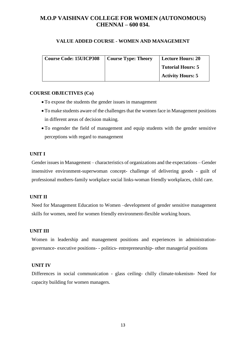#### **VALUE ADDED COURSE - WOMEN AND MANAGEMENT**

| Course Code: 15UICP308 | <b>Course Type: Theory</b> | <b>Lecture Hours: 20</b> |
|------------------------|----------------------------|--------------------------|
|                        |                            | <b>Tutorial Hours: 5</b> |
|                        |                            | <b>Activity Hours: 5</b> |

#### **COURSE OBJECTIVES (Co)**

- To expose the students the gender issues in management
- To make students aware of the challenges that the women face in Management positions in different areas of decision making.
- To engender the field of management and equip students with the gender sensitive perceptions with regard to management

#### **UNIT I**

Gender issues in Management – characteristics of organizations and the expectations – Gender insensitive environment-superwoman concept- challenge of delivering goods - guilt of professional mothers-family workplace social links-woman friendly workplaces, child care.

# **UNIT II**

Need for Management Education to Women –development of gender sensitive management skills for women, need for women friendly environment-flexible working hours.

# **UNIT III**

Women in leadership and management positions and experiences in administrationgovernance- executive positions- - politics- entrepreneurship- other managerial positions

#### **UNIT IV**

Differences in social communication - glass ceiling- chilly climate-tokenism- Need for capacity building for women managers.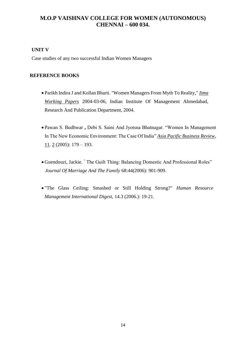# **UNIT V**

Case studies of any two successful Indian Women Managers

- Parikh Indira J and Kollan Bharti. "Women Managers From Myth To Reality," *Iima Working Papers* 2004-03-06, Indian Institute Of Management Ahmedabad, Research And Publication Department, 2004.
- Pawan S. Budhwar **,** Debi S. Saini And Jyotsna Bhatnagar. "Women In Management In The New Economic Environment: The Case Of India" *Asia Pacific Business Review,*  11. 2 (2005): 179 – 193.
- Guendouzi, Jackie. " The Guilt Thing: Balancing Domestic And Professional Roles"  *Journal Of Marriage And The Family* 68:44(2006): 901-909.
- "The Glass Ceiling: Smashed or Still Holding Strong?" *Human Resource Management International Digest*, 14.3 (2006.): 19-21.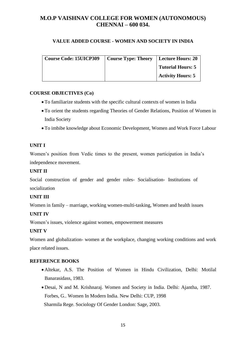# **VALUE ADDED COURSE - WOMEN AND SOCIETY IN INDIA**

| Course Code: 15UICP309   Course Type: Theory   Lecture Hours: 20 |                          |
|------------------------------------------------------------------|--------------------------|
|                                                                  | <b>Tutorial Hours: 5</b> |
|                                                                  | <b>Activity Hours: 5</b> |

# **COURSE OBJECTIVES (Co)**

- To familiarize students with the specific cultural contexts of women in India
- To orient the students regarding Theories of Gender Relations, Position of Women in India Society
- To imbibe knowledge about Economic Development, Women and Work Force Labour

# **UNIT I**

Women's position from Vedic times to the present, women participation in India's independence movement.

# **UNIT II**

Social construction of gender and gender roles- Socialisation- Institutions of socialization

# **UNIT III**

Women in family – marriage, working women-multi-tasking, Women and health issues

# **UNIT IV**

Women's issues, violence against women, empowerment measures

# **UNIT V**

Women and globalization- women at the workplace, changing working conditions and work place related issues.

- Altekar, A.S. The Position of Women in Hindu Civilization, Delhi: Motilal Banarasidass, 1983.
- Desai, N and M. Krishnaraj. Women and Society in India. Delhi: Ajantha, 1987. Forbes, G.. Women In Modern India. New Delhi: CUP, 1998 Sharmila Rege. Sociology Of Gender London: Sage, 2003.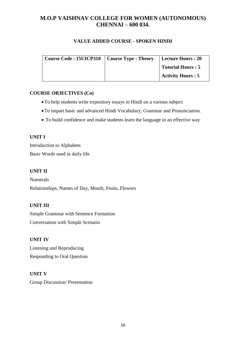# **VALUE ADDED COURSE - SPOKEN HINDI**

| <b>Course Code: 15UICP310</b> | <b>Course Type : Theory</b> | Lecture Hours : 20       |
|-------------------------------|-----------------------------|--------------------------|
|                               |                             | <b>Tutorial Hours: 5</b> |
|                               |                             | Activity Hours : 5       |

# **COURSE OBJECTIVES (Co)**

- To help students write expository essays in Hindi on a various subject
- To impart basic and advanced Hindi Vocabulary, Grammar and Pronunciation.
- To build confidence and make students learn the language in an effective way

# **UNIT I**

Introduction to Alphabets Basic Words used in daily life

# **UNIT II**

Numerals Relationships, Names of Day, Month, Fruits, Flowers

# **UNIT III**

Simple Grammar with Sentence Formation Conversation with Simple Scenario

# **UNIT IV**

Listening and Reproducing Responding to Oral Question

# **UNIT V**

Group Discussion/ Presentation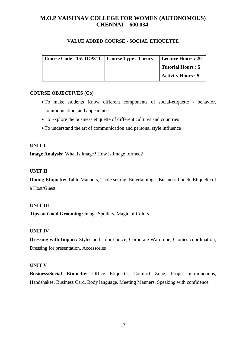# **VALUE ADDED COURSE - SOCIAL ETIQUETTE**

| Course Code: 15UICP311   Course Type: Theory | Lecture Hours : 20       |
|----------------------------------------------|--------------------------|
|                                              | <b>Tutorial Hours: 5</b> |
|                                              | <b>Activity Hours: 5</b> |

# **COURSE OBJECTIVES (Co)**

- To make students Know different components of social-etiquette behavior, communication, and appearance
- To Explore the business etiquette of different cultures and countries
- To understand the art of communication and personal style influence

# **UNIT I**

**Image Analysis:** What is Image? How is Image formed?

# **UNIT II**

**Dining Etiquette:** Table Manners, Table setting, Entertaining – Business Lunch, Etiquette of a Host/Guest

# **UNIT III**

**Tips on Good Grooming:** Image Spoilers, Magic of Colors

# **UNIT IV**

**Dressing with Impact:** Styles and color choice, Corporate Wardrobe, Clothes coordination, Dressing for presentation, Accessories

# **UNIT V**

**Business/Social Etiquette:** Office Etiquette, Comfort Zone, Proper introductions, Handshakes, Business Card, Body language, Meeting Manners, Speaking with confidence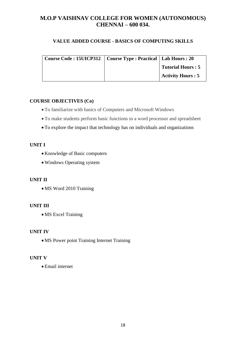# **VALUE ADDED COURSE - BASICS OF COMPUTING SKILLS**

| Course Code : 15UICP312   Course Type : Practical   Lab Hours : 20 |                          |
|--------------------------------------------------------------------|--------------------------|
|                                                                    | <b>Tutorial Hours: 5</b> |
|                                                                    | <b>Activity Hours: 5</b> |

# **COURSE OBJECTIVES (Co)**

- To familiarize with basics of Computers and Microsoft Windows
- To make students perform basic functions in a word processor and spreadsheet
- To explore the impact that technology has on individuals and organizations

# **UNIT I**

- Knowledge of Basic computers
- Windows Operating system

# **UNIT II**

• MS Word 2010 Training

# **UNIT III**

• MS Excel Training

# **UNIT IV**

MS Power point Training Internet Training

# **UNIT V**

Email internet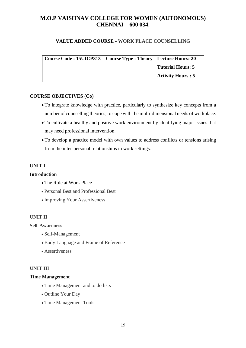#### **VALUE ADDED COURSE - WORK PLACE COUNSELLING**

| Course Code : 15UICP313   Course Type : Theory   Lecture Hours: 20 |                          |
|--------------------------------------------------------------------|--------------------------|
|                                                                    | <b>Tutorial Hours: 5</b> |
|                                                                    | <b>Activity Hours: 5</b> |

#### **COURSE OBJECTIVES (Co)**

- To integrate knowledge with practice, particularly to synthesize key concepts from a number of counselling theories, to cope with the multi-dimensional needs of workplace.
- To cultivate a healthy and positive work environment by identifying major issues that may need professional intervention.
- To develop a practice model with own values to address conflicts or tensions arising from the inter-personal relationships in work settings.

# **UNIT I**

#### **Introduction**

- The Role at Work Place
- Personal Best and Professional Best
- Improving Your Assertiveness

#### **UNIT II**

#### **Self-Awareness**

- Self-Management
- Body Language and Frame of Reference
- Assertiveness

#### **UNIT III**

#### **Time Management**

- Time Management and to do lists
- Outline Your Day
- Time Management Tools